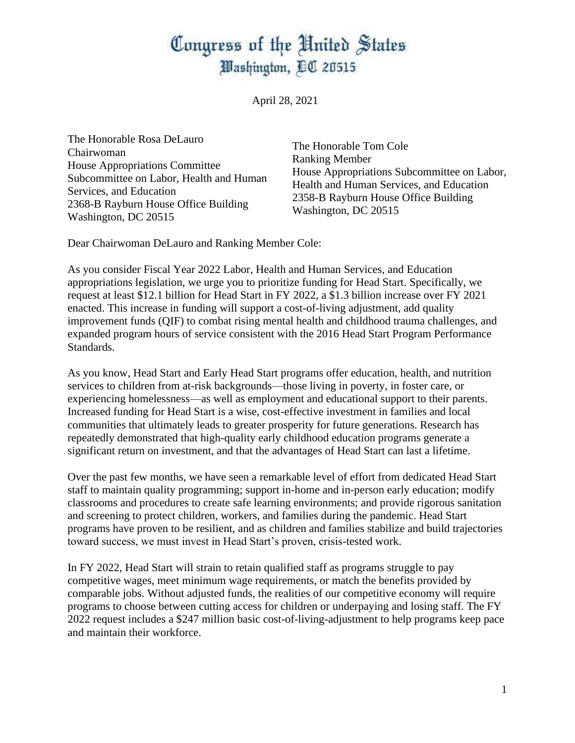## Congress of the United States Washington, EC 20515

April 28, 2021

The Honorable Rosa DeLauro Chairwoman House Appropriations Committee Subcommittee on Labor, Health and Human Services, and Education 2368-B Rayburn House Office Building Washington, DC 20515

The Honorable Tom Cole Ranking Member House Appropriations Subcommittee on Labor, Health and Human Services, and Education 2358-B Rayburn House Office Building Washington, DC 20515

Dear Chairwoman DeLauro and Ranking Member Cole:

As you consider Fiscal Year 2022 Labor, Health and Human Services, and Education appropriations legislation, we urge you to prioritize funding for Head Start. Specifically, we request at least \$12.1 billion for Head Start in FY 2022, a \$1.3 billion increase over FY 2021 enacted. This increase in funding will support a cost-of-living adjustment, add quality improvement funds (QIF) to combat rising mental health and childhood trauma challenges, and expanded program hours of service consistent with the 2016 Head Start Program Performance Standards.

As you know, Head Start and Early Head Start programs offer education, health, and nutrition services to children from at-risk backgrounds—those living in poverty, in foster care, or experiencing homelessness—as well as employment and educational support to their parents. Increased funding for Head Start is a wise, cost-effective investment in families and local communities that ultimately leads to greater prosperity for future generations. Research has repeatedly demonstrated that high-quality early childhood education programs generate a significant return on investment, and that the advantages of Head Start can last a lifetime.

Over the past few months, we have seen a remarkable level of effort from dedicated Head Start staff to maintain quality programming; support in-home and in-person early education; modify classrooms and procedures to create safe learning environments; and provide rigorous sanitation and screening to protect children, workers, and families during the pandemic. Head Start programs have proven to be resilient, and as children and families stabilize and build trajectories toward success, we must invest in Head Start's proven, crisis-tested work.

In FY 2022, Head Start will strain to retain qualified staff as programs struggle to pay competitive wages, meet minimum wage requirements, or match the benefits provided by comparable jobs. Without adjusted funds, the realities of our competitive economy will require programs to choose between cutting access for children or underpaying and losing staff. The FY 2022 request includes a \$247 million basic cost-of-living-adjustment to help programs keep pace and maintain their workforce.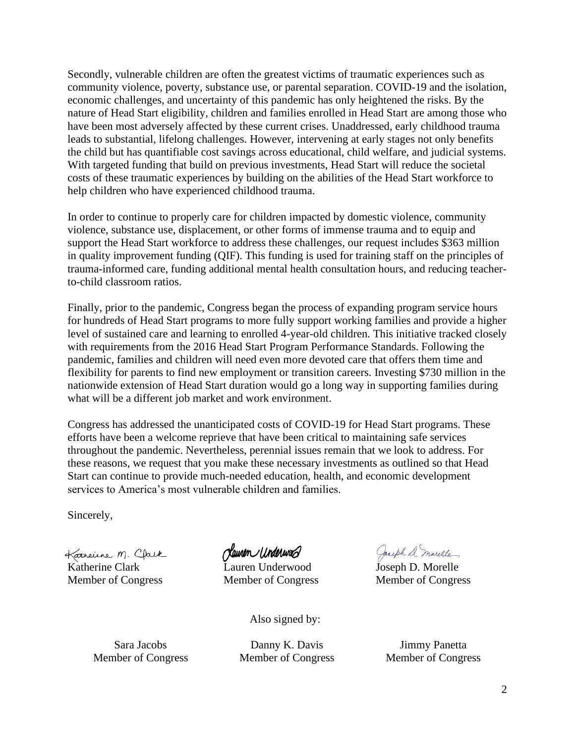Secondly, vulnerable children are often the greatest victims of traumatic experiences such as community violence, poverty, substance use, or parental separation. COVID-19 and the isolation, economic challenges, and uncertainty of this pandemic has only heightened the risks. By the nature of Head Start eligibility, children and families enrolled in Head Start are among those who have been most adversely affected by these current crises. Unaddressed, early childhood trauma leads to substantial, lifelong challenges. However, intervening at early stages not only benefits the child but has quantifiable cost savings across educational, child welfare, and judicial systems. With targeted funding that build on previous investments, Head Start will reduce the societal costs of these traumatic experiences by building on the abilities of the Head Start workforce to help children who have experienced childhood trauma.

In order to continue to properly care for children impacted by domestic violence, community violence, substance use, displacement, or other forms of immense trauma and to equip and support the Head Start workforce to address these challenges, our request includes \$363 million in quality improvement funding (QIF). This funding is used for training staff on the principles of trauma-informed care, funding additional mental health consultation hours, and reducing teacherto-child classroom ratios.

Finally, prior to the pandemic, Congress began the process of expanding program service hours for hundreds of Head Start programs to more fully support working families and provide a higher level of sustained care and learning to enrolled 4-year-old children. This initiative tracked closely with requirements from the 2016 Head Start Program Performance Standards. Following the pandemic, families and children will need even more devoted care that offers them time and flexibility for parents to find new employment or transition careers. Investing \$730 million in the nationwide extension of Head Start duration would go a long way in supporting families during what will be a different job market and work environment.

Congress has addressed the unanticipated costs of COVID-19 for Head Start programs. These efforts have been a welcome reprieve that have been critical to maintaining safe services throughout the pandemic. Nevertheless, perennial issues remain that we look to address. For these reasons, we request that you make these necessary investments as outlined so that Head Start can continue to provide much-needed education, health, and economic development services to America's most vulnerable children and families.

Sincerely,

Katherine M. Clack Member of Congress

dawen underwad

Lauren Underwood Member of Congress

Jacoph D. marelle

Joseph D. Morelle Member of Congress

Also signed by:

Sara Jacobs Member of Congress

Danny K. Davis Member of Congress

Jimmy Panetta Member of Congress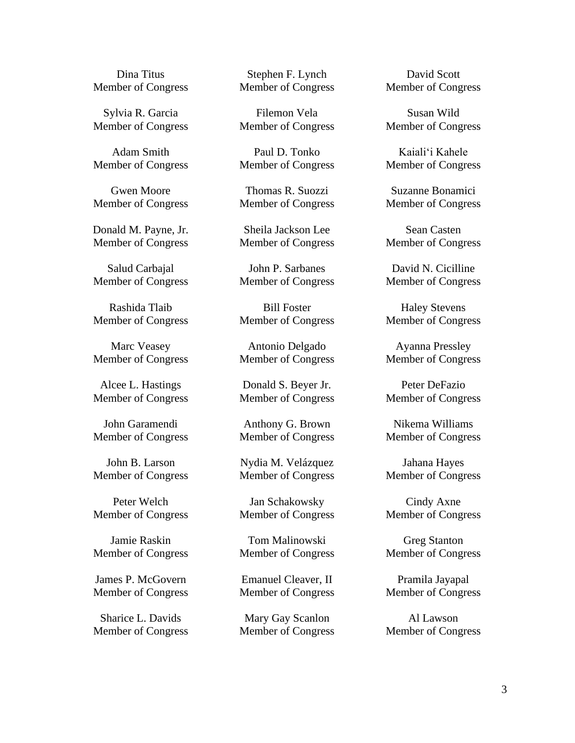Dina Titus Member of Congress

Sylvia R. Garcia Member of Congress

Adam Smith Member of Congress

Gwen Moore Member of Congress

Donald M. Payne, Jr. Member of Congress

Salud Carbajal Member of Congress

Rashida Tlaib Member of Congress

Marc Veasey Member of Congress

Alcee L. Hastings Member of Congress

John Garamendi Member of Congress

John B. Larson Member of Congress

Peter Welch Member of Congress

Jamie Raskin Member of Congress

James P. McGovern Member of Congress

Sharice L. Davids Member of Congress

Stephen F. Lynch Member of Congress

Filemon Vela Member of Congress

Paul D. Tonko Member of Congress

Thomas R. Suozzi Member of Congress

Sheila Jackson Lee Member of Congress

John P. Sarbanes Member of Congress

Bill Foster Member of Congress

Antonio Delgado Member of Congress

Donald S. Beyer Jr. Member of Congress

Anthony G. Brown Member of Congress

Nydia M. Velázquez Member of Congress

Jan Schakowsky Member of Congress

Tom Malinowski Member of Congress

Emanuel Cleaver, II Member of Congress

Mary Gay Scanlon Member of Congress

David Scott Member of Congress

Susan Wild Member of Congress

Kaialiʻi Kahele Member of Congress

Suzanne Bonamici Member of Congress

Sean Casten Member of Congress

David N. Cicilline Member of Congress

Haley Stevens Member of Congress

Ayanna Pressley Member of Congress

Peter DeFazio Member of Congress

Nikema Williams Member of Congress

Jahana Hayes Member of Congress

Cindy Axne Member of Congress

Greg Stanton Member of Congress

Pramila Jayapal Member of Congress

Al Lawson Member of Congress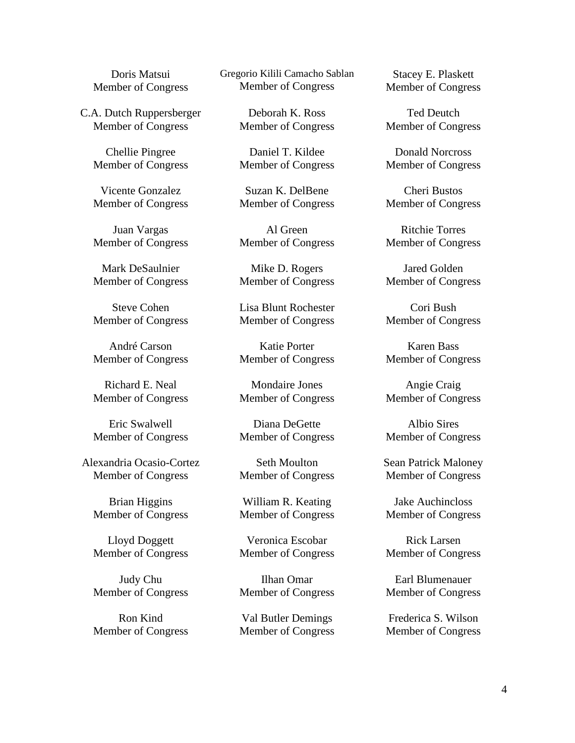Doris Matsui Member of Congress

C.A. Dutch Ruppersberger Member of Congress

> Chellie Pingree Member of Congress

> Vicente Gonzalez Member of Congress

> Juan Vargas Member of Congress

> Mark DeSaulnier Member of Congress

> Steve Cohen Member of Congress

> André Carson Member of Congress

> Richard E. Neal Member of Congress

> Eric Swalwell Member of Congress

Alexandria Ocasio-Cortez Member of Congress

Brian Higgins Member of Congress

Lloyd Doggett Member of Congress

Judy Chu Member of Congress

Ron Kind Member of Congress Gregorio Kilili Camacho Sablan Member of Congress

> Deborah K. Ross Member of Congress

> Daniel T. Kildee Member of Congress

> Suzan K. DelBene Member of Congress

> Al Green Member of Congress

> Mike D. Rogers Member of Congress

> Lisa Blunt Rochester Member of Congress

> Katie Porter Member of Congress

> Mondaire Jones Member of Congress

> Diana DeGette Member of Congress

> Seth Moulton Member of Congress

> William R. Keating Member of Congress

> Veronica Escobar Member of Congress

> Ilhan Omar Member of Congress

> Val Butler Demings Member of Congress

Stacey E. Plaskett Member of Congress

Ted Deutch Member of Congress

Donald Norcross Member of Congress

Cheri Bustos Member of Congress

Ritchie Torres Member of Congress

Jared Golden Member of Congress

Cori Bush Member of Congress

Karen Bass Member of Congress

Angie Craig Member of Congress

Albio Sires Member of Congress

Sean Patrick Maloney Member of Congress

Jake Auchincloss Member of Congress

Rick Larsen Member of Congress

Earl Blumenauer Member of Congress

Frederica S. Wilson Member of Congress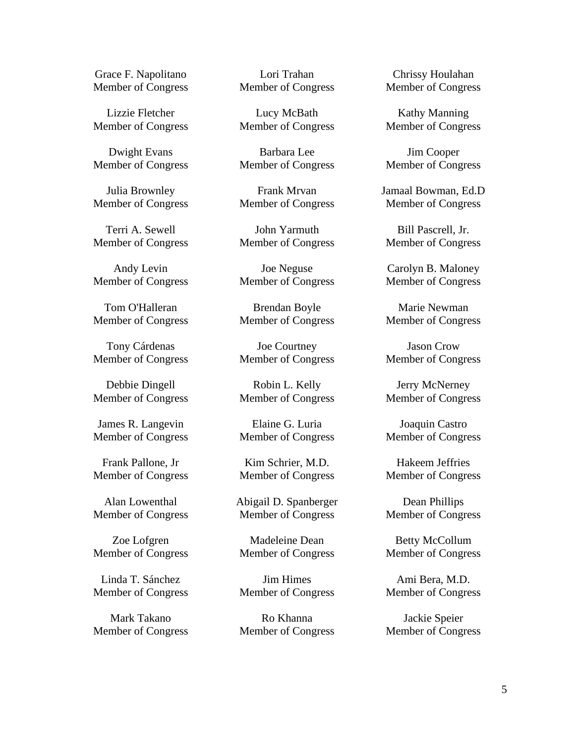Grace F. Napolitano Member of Congress

Lizzie Fletcher Member of Congress

Dwight Evans Member of Congress

Julia Brownley Member of Congress

Terri A. Sewell Member of Congress

Andy Levin Member of Congress

Tom O'Halleran Member of Congress

Tony Cárdenas Member of Congress

Debbie Dingell Member of Congress

James R. Langevin Member of Congress

Frank Pallone, Jr Member of Congress

Alan Lowenthal Member of Congress

Zoe Lofgren Member of Congress

Linda T. Sánchez Member of Congress

Mark Takano Member of Congress

Lori Trahan Member of Congress

Lucy McBath Member of Congress

Barbara Lee Member of Congress

Frank Mrvan Member of Congress

John Yarmuth Member of Congress

Joe Neguse Member of Congress

Brendan Boyle Member of Congress

Joe Courtney Member of Congress

Robin L. Kelly Member of Congress

Elaine G. Luria Member of Congress

Kim Schrier, M.D. Member of Congress

Abigail D. Spanberger Member of Congress

Madeleine Dean Member of Congress

Jim Himes Member of Congress

Ro Khanna Member of Congress

Chrissy Houlahan Member of Congress

Kathy Manning Member of Congress

Jim Cooper Member of Congress

Jamaal Bowman, Ed.D Member of Congress

Bill Pascrell, Jr. Member of Congress

Carolyn B. Maloney Member of Congress

Marie Newman Member of Congress

Jason Crow Member of Congress

Jerry McNerney Member of Congress

Joaquin Castro Member of Congress

Hakeem Jeffries Member of Congress

Dean Phillips Member of Congress

Betty McCollum Member of Congress

Ami Bera, M.D. Member of Congress

Jackie Speier Member of Congress